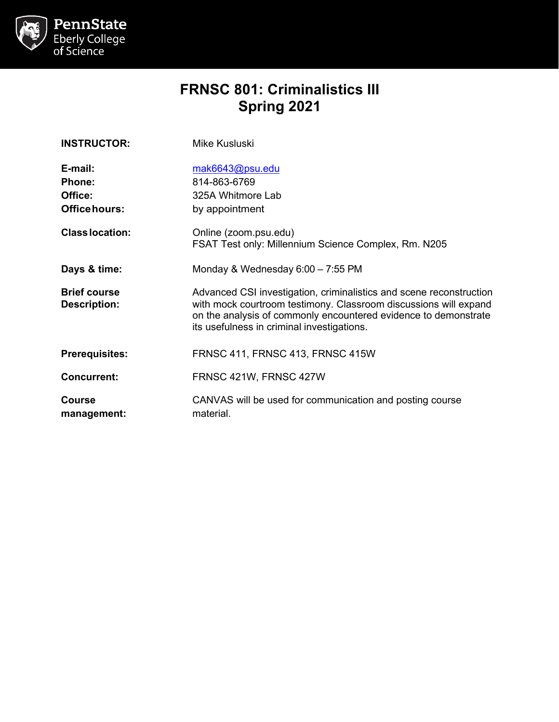

# **FRNSC 801: Criminalistics III Spring 2021**

| <b>INSTRUCTOR:</b>                                   | Mike Kusluski                                                                                                                                                                                                                                            |  |
|------------------------------------------------------|----------------------------------------------------------------------------------------------------------------------------------------------------------------------------------------------------------------------------------------------------------|--|
| E-mail:<br><b>Phone:</b><br>Office:<br>Office hours: | mak6643@psu.edu<br>814-863-6769<br>325A Whitmore Lab<br>by appointment                                                                                                                                                                                   |  |
| <b>Class location:</b>                               | Online (zoom.psu.edu)<br>FSAT Test only: Millennium Science Complex, Rm. N205                                                                                                                                                                            |  |
| Days & time:                                         | Monday & Wednesday 6:00 - 7:55 PM                                                                                                                                                                                                                        |  |
| <b>Brief course</b><br><b>Description:</b>           | Advanced CSI investigation, criminalistics and scene reconstruction<br>with mock courtroom testimony. Classroom discussions will expand<br>on the analysis of commonly encountered evidence to demonstrate<br>its usefulness in criminal investigations. |  |
| <b>Prerequisites:</b>                                | FRNSC 411, FRNSC 413, FRNSC 415W                                                                                                                                                                                                                         |  |
| <b>Concurrent:</b>                                   | FRNSC 421W, FRNSC 427W                                                                                                                                                                                                                                   |  |
| Course<br>management:                                | CANVAS will be used for communication and posting course<br>material.                                                                                                                                                                                    |  |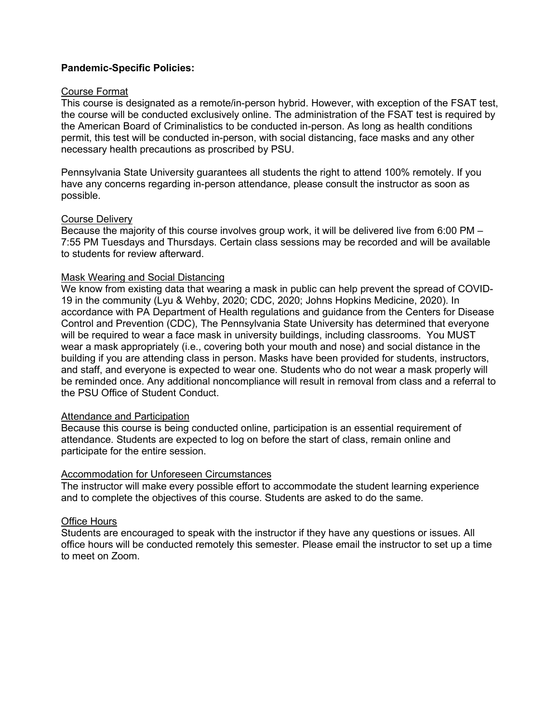### **Pandemic-Specific Policies:**

#### Course Format

This course is designated as a remote/in-person hybrid. However, with exception of the FSAT test, the course will be conducted exclusively online. The administration of the FSAT test is required by the American Board of Criminalistics to be conducted in-person. As long as health conditions permit, this test will be conducted in-person, with social distancing, face masks and any other necessary health precautions as proscribed by PSU.

Pennsylvania State University guarantees all students the right to attend 100% remotely. If you have any concerns regarding in-person attendance, please consult the instructor as soon as possible.

#### Course Delivery

Because the majority of this course involves group work, it will be delivered live from 6:00 PM – 7:55 PM Tuesdays and Thursdays. Certain class sessions may be recorded and will be available to students for review afterward.

### Mask Wearing and Social Distancing

We know from existing data that wearing a mask in public can help prevent the spread of COVID-19 in the community (Lyu & Wehby, 2020; CDC, 2020; Johns Hopkins Medicine, 2020). In accordance with PA Department of Health regulations and guidance from the Centers for Disease Control and Prevention (CDC), The Pennsylvania State University has determined that everyone will be required to wear a face mask in university buildings, including classrooms. You MUST wear a mask appropriately (i.e., covering both your mouth and nose) and social distance in the building if you are attending class in person. Masks have been provided for students, instructors, and staff, and everyone is expected to wear one. Students who do not wear a mask properly will be reminded once. Any additional noncompliance will result in removal from class and a referral to the PSU Office of Student Conduct.

#### Attendance and Participation

Because this course is being conducted online, participation is an essential requirement of attendance. Students are expected to log on before the start of class, remain online and participate for the entire session.

### Accommodation for Unforeseen Circumstances

The instructor will make every possible effort to accommodate the student learning experience and to complete the objectives of this course. Students are asked to do the same.

### Office Hours

Students are encouraged to speak with the instructor if they have any questions or issues. All office hours will be conducted remotely this semester. Please email the instructor to set up a time to meet on Zoom.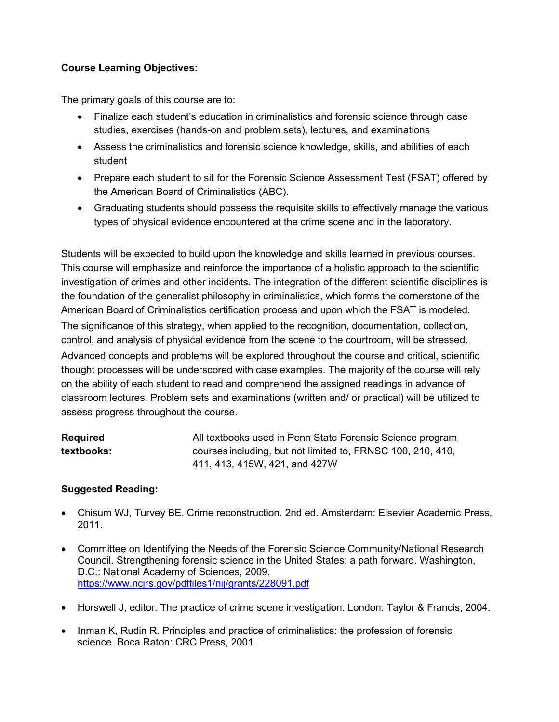# **Course Learning Objectives:**

The primary goals of this course are to:

- Finalize each student's education in criminalistics and forensic science through case studies, exercises (hands-on and problem sets), lectures, and examinations
- Assess the criminalistics and forensic science knowledge, skills, and abilities of each student
- Prepare each student to sit for the Forensic Science Assessment Test (FSAT) offered by the American Board of Criminalistics (ABC).
- Graduating students should possess the requisite skills to effectively manage the various types of physical evidence encountered at the crime scene and in the laboratory.

Students will be expected to build upon the knowledge and skills learned in previous courses. This course will emphasize and reinforce the importance of a holistic approach to the scientific investigation of crimes and other incidents. The integration of the different scientific disciplines is the foundation of the generalist philosophy in criminalistics, which forms the cornerstone of the American Board of Criminalistics certification process and upon which the FSAT is modeled. The significance of this strategy, when applied to the recognition, documentation, collection, control, and analysis of physical evidence from the scene to the courtroom, will be stressed.

Advanced concepts and problems will be explored throughout the course and critical, scientific thought processes will be underscored with case examples. The majority of the course will rely on the ability of each student to read and comprehend the assigned readings in advance of classroom lectures. Problem sets and examinations (written and/ or practical) will be utilized to assess progress throughout the course.

| <b>Required</b> | All textbooks used in Penn State Forensic Science program   |
|-----------------|-------------------------------------------------------------|
| textbooks:      | courses including, but not limited to, FRNSC 100, 210, 410, |
|                 | 411, 413, 415W, 421, and 427W                               |

# **Suggested Reading:**

- Chisum WJ, Turvey BE. Crime reconstruction. 2nd ed. Amsterdam: Elsevier Academic Press, 2011.
- Committee on Identifying the Needs of the Forensic Science Community/National Research Council. Strengthening forensic science in the United States: a path forward. Washington, D.C.: National Academy of Sciences, 2009. <https://www.ncjrs.gov/pdffiles1/nij/grants/228091.pdf>
- Horswell J, editor. The practice of crime scene investigation. London: Taylor & Francis, 2004.
- Inman K, Rudin R. Principles and practice of criminalistics: the profession of forensic science. Boca Raton: CRC Press, 2001.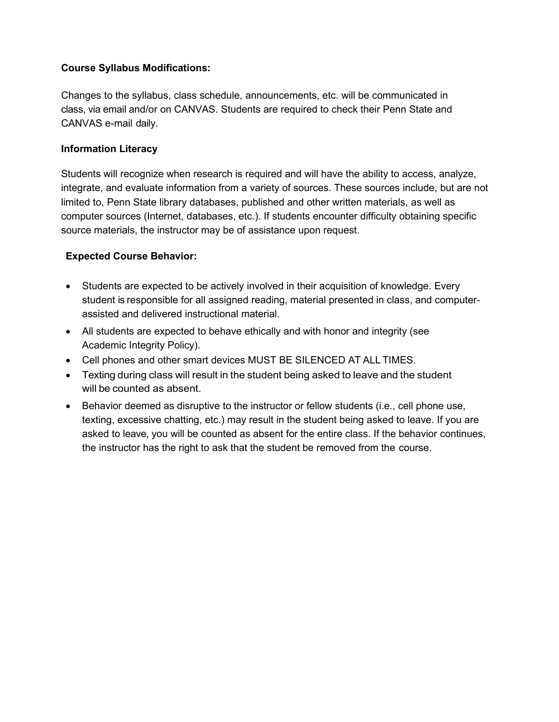### **Course Syllabus Modifications:**

Changes to the syllabus, class schedule, announcements, etc. will be communicated in class, via email and/or on CANVAS. Students are required to check their Penn State and CANVAS e-mail daily.

### **Information Literacy**

Students will recognize when research is required and will have the ability to access, analyze, integrate, and evaluate information from a variety of sources. These sources include, but are not limited to, Penn State library databases, published and other written materials, as well as computer sources (Internet, databases, etc.). If students encounter difficulty obtaining specific source materials, the instructor may be of assistance upon request.

### **Expected Course Behavior:**

- Students are expected to be actively involved in their acquisition of knowledge. Every student is responsible for all assigned reading, material presented in class, and computerassisted and delivered instructional material.
- All students are expected to behave ethically and with honor and integrity (see Academic Integrity Policy).
- Cell phones and other smart devices MUST BE SILENCED AT ALL TIMES.
- Texting during class will result in the student being asked to leave and the student will be counted as absent.
- Behavior deemed as disruptive to the instructor or fellow students (i.e., cell phone use, texting, excessive chatting, etc.) may result in the student being asked to leave. If you are asked to leave, you will be counted as absent for the entire class. If the behavior continues, the instructor has the right to ask that the student be removed from the course.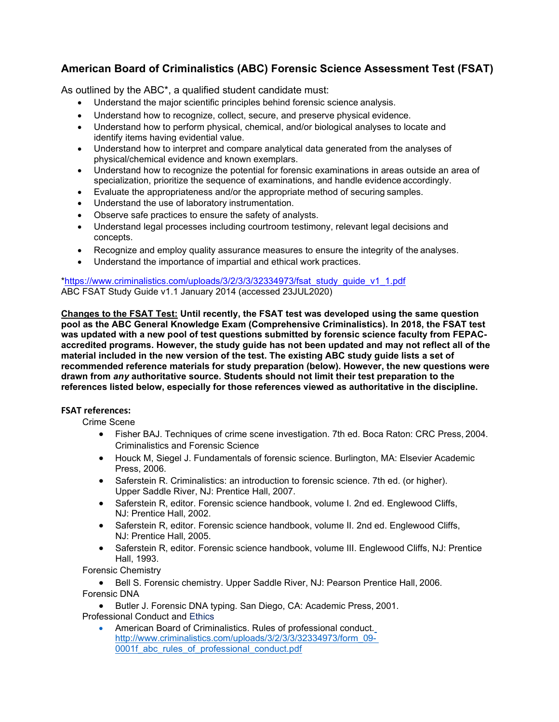# **American Board of Criminalistics (ABC) Forensic Science Assessment Test (FSAT)**

As outlined by the ABC\*, a qualified student candidate must:

- Understand the major scientific principles behind forensic science analysis.
- Understand how to recognize, collect, secure, and preserve physical evidence.
- Understand how to perform physical, chemical, and/or biological analyses to locate and identify items having evidential value.
- Understand how to interpret and compare analytical data generated from the analyses of physical/chemical evidence and known exemplars.
- Understand how to recognize the potential for forensic examinations in areas outside an area of specialization, prioritize the sequence of examinations, and handle evidence accordingly.
- Evaluate the appropriateness and/or the appropriate method of securing samples.
- Understand the use of laboratory instrumentation.
- Observe safe practices to ensure the safety of analysts.
- Understand legal processes including courtroom testimony, relevant legal decisions and concepts.
- Recognize and employ quality assurance measures to ensure the integrity of the analyses.
- Understand the importance of impartial and ethical work practices.

[\\*https://www.criminalistics.com/uploads/3/2/3/3/32334973/fsat\\_study\\_guide\\_v1\\_1.pdf](https://www.criminalistics.com/uploads/3/2/3/3/32334973/fsat_study_guide_v1_1.pdf) ABC FSAT Study Guide v1.1 January 2014 (accessed 23JUL2020)

**Changes to the FSAT Test: Until recently, the FSAT test was developed using the same question pool as the ABC General Knowledge Exam (Comprehensive Criminalistics). In 2018, the FSAT test was updated with a new pool of test questions submitted by forensic science faculty from FEPACaccredited programs. However, the study guide has not been updated and may not reflect all of the material included in the new version of the test. The existing ABC study guide lists a set of recommended reference materials for study preparation (below). However, the new questions were drawn from** *any* **authoritative source. Students should not limit their test preparation to the references listed below, especially for those references viewed as authoritative in the discipline.** 

### **FSAT references:**

Crime Scene

- Fisher BAJ. Techniques of crime scene investigation. 7th ed. Boca Raton: CRC Press, 2004. Criminalistics and Forensic Science
- Houck M, Siegel J. Fundamentals of forensic science. Burlington, MA: Elsevier Academic Press, 2006.
- Saferstein R. Criminalistics: an introduction to forensic science. 7th ed. (or higher). Upper Saddle River, NJ: Prentice Hall, 2007.
- Saferstein R, editor. Forensic science handbook, volume I. 2nd ed. Englewood Cliffs, NJ: Prentice Hall, 2002.
- Saferstein R, editor. Forensic science handbook, volume II. 2nd ed. Englewood Cliffs, NJ: Prentice Hall, 2005.
- Saferstein R, editor. Forensic science handbook, volume III. Englewood Cliffs, NJ: Prentice Hall, 1993.

Forensic Chemistry

• Bell S. Forensic chemistry. Upper Saddle River, NJ: Pearson Prentice Hall, 2006. Forensic DNA

• Butler J. Forensic DNA typing. San Diego, CA: Academic Press, 2001. Professional Conduct and Ethics

• American Board of Criminalistics. Rules of professional conduct[.](http://www.criminalistics.com/uploads/3/2/3/3/32334973/form_09-0001f_abc_rules_of_professional_conduct.pdf) [http://www.criminalistics.com/uploads/3/2/3/3/32334973/form\\_09-](http://www.criminalistics.com/uploads/3/2/3/3/32334973/form_09-0001f_abc_rules_of_professional_conduct.pdf) 0001f abc\_rules\_of\_professional\_conduct.pdf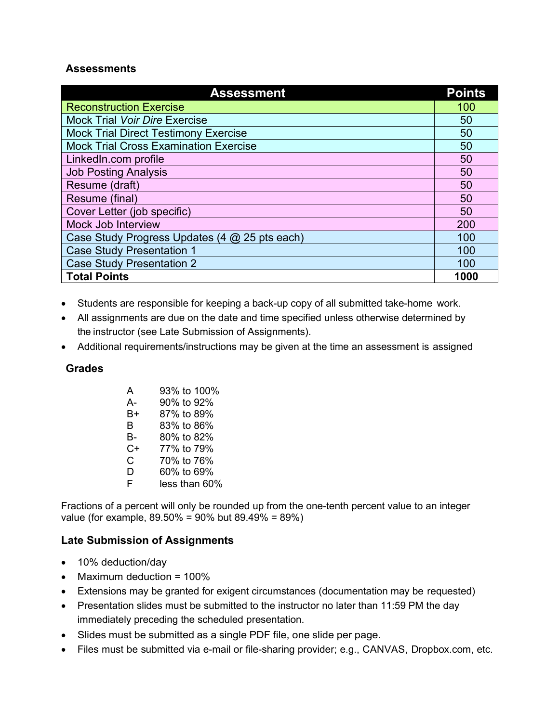# **Assessments**

| <b>Assessment</b>                             |  |  |
|-----------------------------------------------|--|--|
| <b>Reconstruction Exercise</b>                |  |  |
| <b>Mock Trial Voir Dire Exercise</b>          |  |  |
| <b>Mock Trial Direct Testimony Exercise</b>   |  |  |
| <b>Mock Trial Cross Examination Exercise</b>  |  |  |
| LinkedIn.com profile                          |  |  |
| <b>Job Posting Analysis</b>                   |  |  |
| Resume (draft)                                |  |  |
| Resume (final)                                |  |  |
| Cover Letter (job specific)                   |  |  |
| Mock Job Interview                            |  |  |
| Case Study Progress Updates (4 @ 25 pts each) |  |  |
| <b>Case Study Presentation 1</b>              |  |  |
| <b>Case Study Presentation 2</b>              |  |  |
| <b>Total Points</b>                           |  |  |

- Students are responsible for keeping a back-up copy of all submitted take-home work.
- All assignments are due on the date and time specified unless otherwise determined by the instructor (see Late Submission of Assignments).
- Additional requirements/instructions may be given at the time an assessment is assigned

# **Grades**

| А  | 93% to 100%   |
|----|---------------|
| А- | 90% to 92%    |
| В+ | 87% to 89%    |
| R  | 83% to 86%    |
| В- | 80% to 82%    |
| C+ | 77% to 79%    |
| C. | 70% to 76%    |
| D  | 60% to 69%    |
| F  | less than 60% |

Fractions of a percent will only be rounded up from the one-tenth percent value to an integer value (for example, 89.50% = 90% but 89.49% = 89%)

# **Late Submission of Assignments**

- 10% deduction/day
- Maximum deduction = 100%
- Extensions may be granted for exigent circumstances (documentation may be requested)
- Presentation slides must be submitted to the instructor no later than 11:59 PM the day immediately preceding the scheduled presentation.
- Slides must be submitted as a single PDF file, one slide per page.
- Files must be submitted via e-mail or file-sharing provider; e.g., CANVAS, Dropbox.com, etc.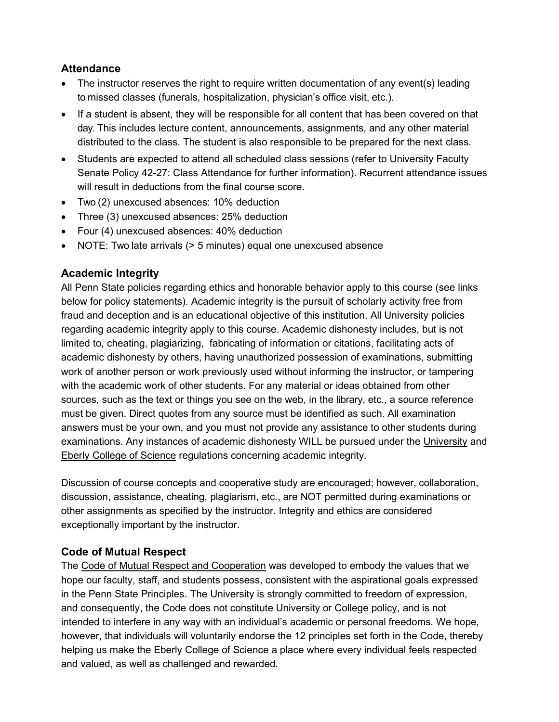# **Attendance**

- The instructor reserves the right to require written documentation of any event(s) leading to missed classes (funerals, hospitalization, physician's office visit, etc.).
- If a student is absent, they will be responsible for all content that has been covered on that day. This includes lecture content, announcements, assignments, and any other material distributed to the class. The student is also responsible to be prepared for the next class.
- Students are expected to attend all scheduled class sessions (refer to University Faculty Senate Policy 42-27: Class Attendance for further information). Recurrent attendance issues will result in deductions from the final course score.
- Two (2) unexcused absences: 10% deduction
- Three (3) unexcused absences: 25% deduction
- Four (4) unexcused absences: 40% deduction
- NOTE: Two late arrivals (> 5 minutes) equal one unexcused absence

# **Academic Integrity**

All Penn State policies regarding ethics and honorable behavior apply to this course (see links below for policy statements). Academic integrity is the pursuit of scholarly activity free from fraud and deception and is an educational objective of this institution. All University policies regarding academic integrity apply to this course. Academic dishonesty includes, but is not limited to, cheating, plagiarizing, fabricating of information or citations, facilitating acts of academic dishonesty by others, having unauthorized possession of examinations, submitting work of another person or work previously used without informing the instructor, or tampering with the academic work of other students. For any material or ideas obtained from other sources, such as the text or things you see on the web, in the library, etc., a source reference must be given. Direct quotes from any source must be identified as such. All examination answers must be your own, and you must not provide any assistance to other students during examinations. Any instances of academic dishonesty WILL be pursued under the University and Eberly College of Science regulations concerning academic integrity.

Discussion of course concepts and cooperative study are encouraged; however, collaboration, discussion, assistance, cheating, plagiarism, etc., are NOT permitted during examinations or other assignments as specified by the instructor. Integrity and ethics are considered exceptionally important by the instructor.

# **Code of Mutual Respect**

The Code of Mutual Respect and Cooperation was developed to embody the values that we hope our faculty, staff, and students possess, consistent with the aspirational goals expressed in the Penn State Principles. The University is strongly committed to freedom of expression, and consequently, the Code does not constitute University or College policy, and is not intended to interfere in any way with an individual's academic or personal freedoms. We hope, however, that individuals will voluntarily endorse the 12 principles set forth in the Code, thereby helping us make the Eberly College of Science a place where every individual feels respected and valued, as well as challenged and rewarded.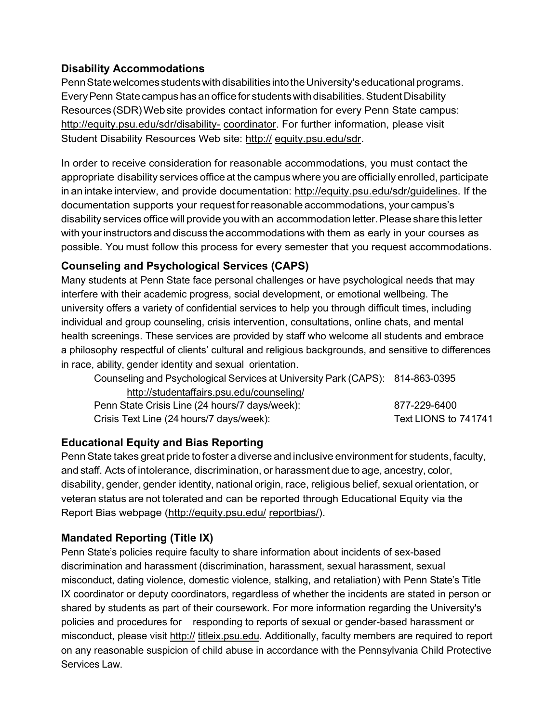# **Disability Accommodations**

PennStatewelcomesstudentswithdisabilitiesintotheUniversity'seducationalprograms. Every Penn State campus has an office for students with disabilities. Student Disability Resources (SDR)Website provides contact information for every Penn State campus: <http://equity.psu.edu/sdr/disability-> coordinator. For further information, please visit Student Disability Resources Web site: http:// equity.psu.edu/sdr.

In order to receive consideration for reasonable accommodations, you must contact the appropriate disability services office at the campus where you are officially enrolled, participate in an intake interview, and provide documentation: [http://equity.psu.edu/sdr/guidelines. I](http://equity.psu.edu/sdr/guidelines)f the documentation supports your request forreasonable accommodations, your campus's disability services office will provide you with an accommodation letter. Please share this letter with your instructors and discuss the accommodations with them as early in your courses as possible. You must follow this process for every semester that you request accommodations.

# **Counseling and Psychological Services (CAPS)**

Many students at Penn State face personal challenges or have psychological needs that may interfere with their academic progress, social development, or emotional wellbeing. The university offers a variety of confidential services to help you through difficult times, including individual and group counseling, crisis intervention, consultations, online chats, and mental health screenings. These services are provided by staff who welcome all students and embrace a philosophy respectful of clients' cultural and religious backgrounds, and sensitive to differences in race, ability, gender identity and sexual orientation.

| Counseling and Psychological Services at University Park (CAPS): 814-863-0395 |                      |  |
|-------------------------------------------------------------------------------|----------------------|--|
| http://studentaffairs.psu.edu/counseling/                                     |                      |  |
| Penn State Crisis Line (24 hours/7 days/week):                                | 877-229-6400         |  |
| Crisis Text Line (24 hours/7 days/week):                                      | Text LIONS to 741741 |  |

# **Educational Equity and Bias Reporting**

PennState takes great pride to foster a diverse and inclusive environment for students, faculty, and staff. Acts of intolerance, discrimination, or harassment due to age, ancestry, color, disability, gender, gender identity, national origin, race, religious belief, sexual orientation, or veteran status are not tolerated and can be reported through Educational Equity via the Report Bias webpage [\(http://equity.psu.edu/](http://equity.psu.edu/) reportbias/).

# **Mandated Reporting (Title IX)**

Penn State's policies require faculty to share information about incidents of sex-based discrimination and harassment (discrimination, harassment, sexual harassment, sexual misconduct, dating violence, domestic violence, stalking, and retaliation) with Penn State's Title IX coordinator or deputy coordinators, regardless of whether the incidents are stated in person or shared by students as part of their coursework. For more information regarding the University's policies and procedures for responding to reports of sexual or gender-based harassment or misconduct, please visit http:// titleix.psu.edu. Additionally, faculty members are required to report on any reasonable suspicion of child abuse in accordance with the Pennsylvania Child Protective Services Law.